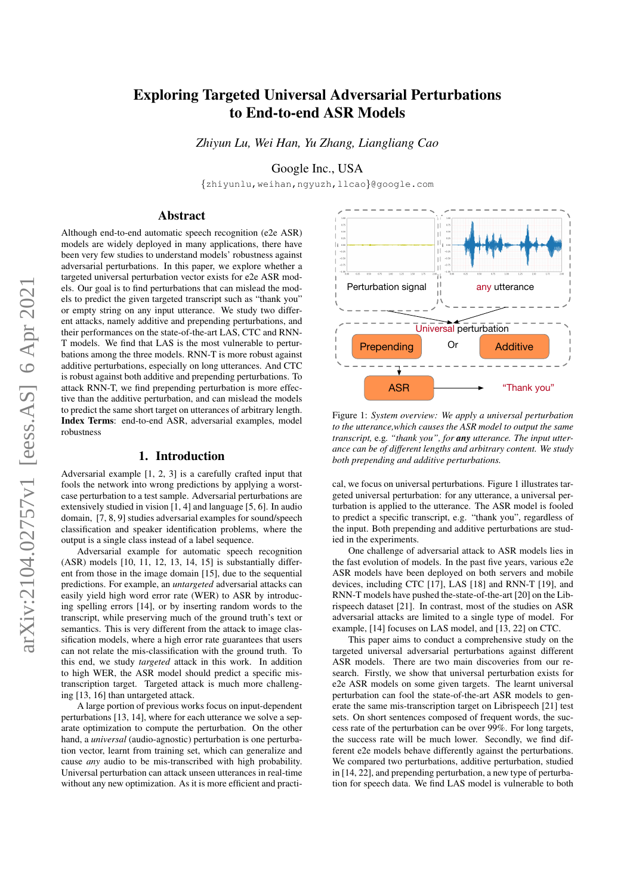# Exploring Targeted Universal Adversarial Perturbations to End-to-end ASR Models

*Zhiyun Lu, Wei Han, Yu Zhang, Liangliang Cao*

Google Inc., USA

{zhiyunlu,weihan,ngyuzh,llcao}@google.com

# Abstract

Although end-to-end automatic speech recognition (e2e ASR) models are widely deployed in many applications, there have been very few studies to understand models' robustness against adversarial perturbations. In this paper, we explore whether a targeted universal perturbation vector exists for e2e ASR models. Our goal is to find perturbations that can mislead the models to predict the given targeted transcript such as "thank you" or empty string on any input utterance. We study two different attacks, namely additive and prepending perturbations, and their performances on the state-of-the-art LAS, CTC and RNN-T models. We find that LAS is the most vulnerable to perturbations among the three models. RNN-T is more robust against additive perturbations, especially on long utterances. And CTC is robust against both additive and prepending perturbations. To attack RNN-T, we find prepending perturbation is more effective than the additive perturbation, and can mislead the models to predict the same short target on utterances of arbitrary length. Index Terms: end-to-end ASR, adversarial examples, model robustness

### 1. Introduction

Adversarial example [1, 2, 3] is a carefully crafted input that fools the network into wrong predictions by applying a worstcase perturbation to a test sample. Adversarial perturbations are extensively studied in vision [1, 4] and language [5, 6]. In audio domain, [7, 8, 9] studies adversarial examples for sound/speech classification and speaker identification problems, where the output is a single class instead of a label sequence.

Adversarial example for automatic speech recognition (ASR) models [10, 11, 12, 13, 14, 15] is substantially different from those in the image domain [15], due to the sequential predictions. For example, an *untargeted* adversarial attacks can easily yield high word error rate (WER) to ASR by introducing spelling errors [14], or by inserting random words to the transcript, while preserving much of the ground truth's text or semantics. This is very different from the attack to image classification models, where a high error rate guarantees that users can not relate the mis-classification with the ground truth. To this end, we study *targeted* attack in this work. In addition to high WER, the ASR model should predict a specific mistranscription target. Targeted attack is much more challenging [13, 16] than untargeted attack.

A large portion of previous works focus on input-dependent perturbations [13, 14], where for each utterance we solve a separate optimization to compute the perturbation. On the other hand, a *universal* (audio-agnostic) perturbation is one perturbation vector, learnt from training set, which can generalize and cause *any* audio to be mis-transcribed with high probability. Universal perturbation can attack unseen utterances in real-time without any new optimization. As it is more efficient and practi-



Figure 1: *System overview: We apply a universal perturbation to the utterance,which causes the ASR model to output the same transcript,* e.g*. "thank you", for any utterance. The input utterance can be of different lengths and arbitrary content. We study both prepending and additive perturbations.*

cal, we focus on universal perturbations. Figure 1 illustrates targeted universal perturbation: for any utterance, a universal perturbation is applied to the utterance. The ASR model is fooled to predict a specific transcript, e.g. "thank you", regardless of the input. Both prepending and additive perturbations are studied in the experiments.

One challenge of adversarial attack to ASR models lies in the fast evolution of models. In the past five years, various e2e ASR models have been deployed on both servers and mobile devices, including CTC [17], LAS [18] and RNN-T [19], and RNN-T models have pushed the-state-of-the-art [20] on the Librispeech dataset [21]. In contrast, most of the studies on ASR adversarial attacks are limited to a single type of model. For example, [14] focuses on LAS model, and [13, 22] on CTC.

This paper aims to conduct a comprehensive study on the targeted universal adversarial perturbations against different ASR models. There are two main discoveries from our research. Firstly, we show that universal perturbation exists for e2e ASR models on some given targets. The learnt universal perturbation can fool the state-of-the-art ASR models to generate the same mis-transcription target on Librispeech [21] test sets. On short sentences composed of frequent words, the success rate of the perturbation can be over 99%. For long targets, the success rate will be much lower. Secondly, we find different e2e models behave differently against the perturbations. We compared two perturbations, additive perturbation, studied in [14, 22], and prepending perturbation, a new type of perturbation for speech data. We find LAS model is vulnerable to both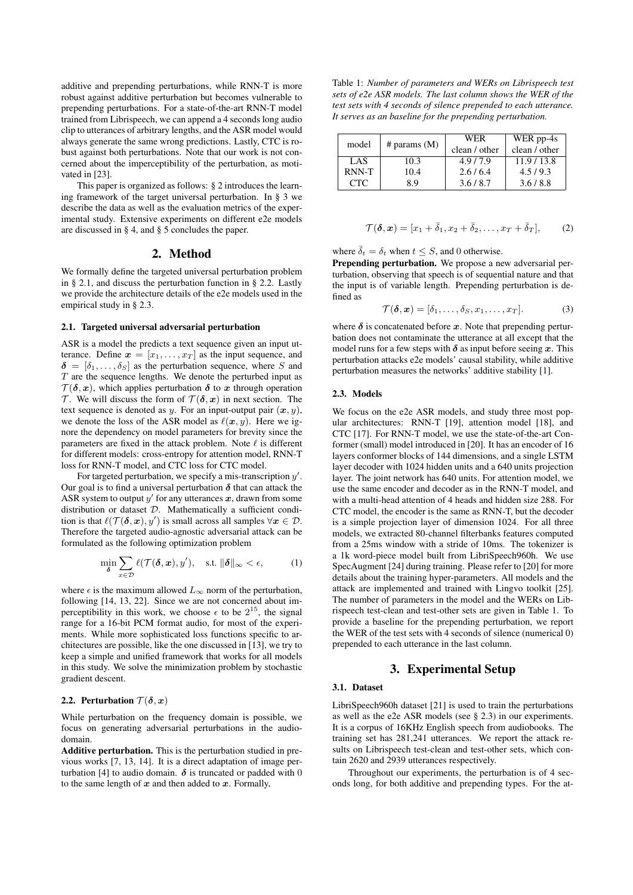additive and prepending perturbations, while RNN-T is more robust against additive perturbation but becomes vulnerable to prepending perturbations. For a state-of-the-art RNN-T model trained from Librispeech, we can append a 4 seconds long audio clip to utterances of arbitrary lengths, and the ASR model would always generate the same wrong predictions. Lastly, CTC is robust against both perturbations. Note that our work is not concerned about the imperceptibility of the perturbation, as motivated in [23].

This paper is organized as follows: § 2 introduces the learning framework of the target universal perturbation. In § 3 we describe the data as well as the evaluation metrics of the experimental study. Extensive experiments on different e2e models are discussed in § 4, and § 5 concludes the paper.

## 2. Method

We formally define the targeted universal perturbation problem in § 2.1, and discuss the perturbation function in § 2.2. Lastly we provide the architecture details of the e2e models used in the empirical study in § 2.3.

#### 2.1. Targeted universal adversarial perturbation

ASR is a model the predicts a text sequence given an input utterance. Define  $\mathbf{x} = [x_1, \dots, x_T]$  as the input sequence, and  $\delta = [\delta_1, \ldots, \delta_S]$  as the perturbation sequence, where S and  $T$  are the sequence lengths. We denote the perturbed input as  $\mathcal{T}(\delta, x)$ , which applies perturbation  $\delta$  to x through operation T. We will discuss the form of  $\mathcal{T}(\delta, x)$  in next section. The text sequence is denoted as y. For an input-output pair  $(x, y)$ , we denote the loss of the ASR model as  $\ell(x, y)$ . Here we ignore the dependency on model parameters for brevity since the parameters are fixed in the attack problem. Note  $\ell$  is different for different models: cross-entropy for attention model, RNN-T loss for RNN-T model, and CTC loss for CTC model.

For targeted perturbation, we specify a mis-transcription  $y'$ . Our goal is to find a universal perturbation  $\delta$  that can attack the ASR system to output  $y'$  for any utterances  $x$ , drawn from some distribution or dataset  $D$ . Mathematically a sufficient condition is that  $\ell(\mathcal{T}(\delta, x), y')$  is small across all samples  $\forall x \in \mathcal{D}$ . Therefore the targeted audio-agnostic adversarial attack can be formulated as the following optimization problem

$$
\min_{\boldsymbol{\delta}} \sum_{x \in \mathcal{D}} \ell(\mathcal{T}(\boldsymbol{\delta}, \boldsymbol{x}), y'), \quad \text{s.t. } \|\boldsymbol{\delta}\|_{\infty} < \epsilon,\tag{1}
$$

where  $\epsilon$  is the maximum allowed  $L_{\infty}$  norm of the perturbation, following [14, 13, 22]. Since we are not concerned about imperceptibility in this work, we choose  $\epsilon$  to be  $2^{15}$ , the signal range for a 16-bit PCM format audio, for most of the experiments. While more sophisticated loss functions specific to architectures are possible, like the one discussed in  $[13]$ , we try to keep a simple and unified framework that works for all models in this study. We solve the minimization problem by stochastic gradient descent.

### 2.2. Perturbation  $\mathcal{T}(\delta, x)$

While perturbation on the frequency domain is possible, we focus on generating adversarial perturbations in the audiodomain.

Additive perturbation. This is the perturbation studied in previous works [7, 13, 14]. It is a direct adaptation of image perturbation [4] to audio domain.  $\delta$  is truncated or padded with 0 to the same length of  $x$  and then added to  $x$ . Formally,

Table 1: *Number of parameters and WERs on Librispeech test sets of e2e ASR models. The last column shows the WER of the test sets with 4 seconds of silence prepended to each utterance. It serves as an baseline for the prepending perturbation.*

| model |                | WER           | WER pp-4s     |
|-------|----------------|---------------|---------------|
|       | # params $(M)$ | clean / other | clean / other |
| LAS   | 10.3           | 4.9/7.9       | 11.9/13.8     |
| RNN-T | 10.4           | 2.6/6.4       | 4.5/9.3       |
| CTC.  | 8 Q            | 3.6/8.7       | 3.6/8.8       |

$$
\mathcal{T}(\boldsymbol{\delta}, \boldsymbol{x}) = [x_1 + \bar{\delta}_1, x_2 + \bar{\delta}_2, \dots, x_T + \bar{\delta}_T], \qquad (2)
$$

where  $\bar{\delta}_t = \delta_t$  when  $t \leq S$ , and 0 otherwise.

Prepending perturbation. We propose a new adversarial perturbation, observing that speech is of sequential nature and that the input is of variable length. Prepending perturbation is defined as

$$
\mathcal{T}(\boldsymbol{\delta}, \boldsymbol{x}) = [\delta_1, \dots, \delta_S, x_1, \dots, x_T]. \tag{3}
$$

where  $\delta$  is concatenated before x. Note that prepending perturbation does not contaminate the utterance at all except that the model runs for a few steps with  $\delta$  as input before seeing x. This perturbation attacks e2e models' causal stability, while additive perturbation measures the networks' additive stability [1].

#### 2.3. Models

We focus on the e2e ASR models, and study three most popular architectures: RNN-T [19], attention model [18], and CTC [17]. For RNN-T model, we use the state-of-the-art Conformer (small) model introduced in [20]. It has an encoder of 16 layers conformer blocks of 144 dimensions, and a single LSTM layer decoder with 1024 hidden units and a 640 units projection layer. The joint network has 640 units. For attention model, we use the same encoder and decoder as in the RNN-T model, and with a multi-head attention of 4 heads and hidden size 288. For CTC model, the encoder is the same as RNN-T, but the decoder is a simple projection layer of dimension 1024. For all three models, we extracted 80-channel filterbanks features computed from a 25ms window with a stride of 10ms. The tokenizer is a 1k word-piece model built from LibriSpeech960h. We use SpecAugment [24] during training. Please refer to [20] for more details about the training hyper-parameters. All models and the attack are implemented and trained with Lingvo toolkit [25]. The number of parameters in the model and the WERs on Librispeech test-clean and test-other sets are given in Table 1. To provide a baseline for the prepending perturbation, we report the WER of the test sets with 4 seconds of silence (numerical 0) prepended to each utterance in the last column.

# 3. Experimental Setup

### 3.1. Dataset

LibriSpeech960h dataset [21] is used to train the perturbations as well as the e2e ASR models (see § 2.3) in our experiments. It is a corpus of 16KHz English speech from audiobooks. The training set has 281,241 utterances. We report the attack results on Librispeech test-clean and test-other sets, which contain 2620 and 2939 utterances respectively.

Throughout our experiments, the perturbation is of 4 seconds long, for both additive and prepending types. For the at-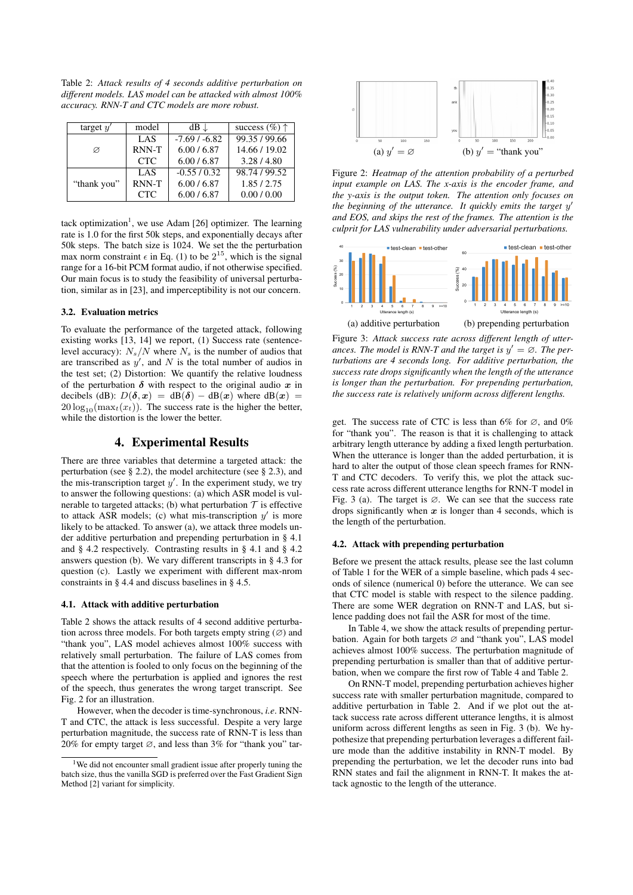Table 2: *Attack results of 4 seconds additive perturbation on different models. LAS model can be attacked with almost 100% accuracy. RNN-T and CTC models are more robust.*

| target $y'$ | model      | $dB \downarrow$ | success $(\%)$ $\uparrow$ |
|-------------|------------|-----------------|---------------------------|
|             | LAS        | $-7.69/ -6.82$  | 99.35/99.66               |
| Ø           | RNN-T      | 6.00 / 6.87     | 14.66 / 19.02             |
|             | <b>CTC</b> | 6.00 / 6.87     | 3.28/4.80                 |
|             | LAS        | $-0.55/0.32$    | 98.74 / 99.52             |
| "thank you" | RNN-T      | 6.00 / 6.87     | 1.85/2.75                 |
|             | <b>CTC</b> | 6.00 / 6.87     | 0.00 / 0.00               |

tack optimization<sup>1</sup>, we use Adam [26] optimizer. The learning rate is 1.0 for the first 50k steps, and exponentially decays after 50k steps. The batch size is 1024. We set the the perturbation max norm constraint  $\epsilon$  in Eq. (1) to be  $2^{15}$ , which is the signal range for a 16-bit PCM format audio, if not otherwise specified. Our main focus is to study the feasibility of universal perturbation, similar as in [23], and imperceptibility is not our concern.

### 3.2. Evaluation metrics

To evaluate the performance of the targeted attack, following existing works [13, 14] we report, (1) Success rate (sentencelevel accuracy):  $N_s/N$  where  $N_s$  is the number of audios that are transcribed as  $y'$ , and N is the total number of audios in the test set; (2) Distortion: We quantify the relative loudness of the perturbation  $\delta$  with respect to the original audio x in decibels (dB):  $D(\delta, x) = dB(\delta) - dB(x)$  where  $dB(x) =$  $20 \log_{10}(\max_t(x_t))$ . The success rate is the higher the better, while the distortion is the lower the better.

# 4. Experimental Results

There are three variables that determine a targeted attack: the perturbation (see § 2.2), the model architecture (see § 2.3), and the mis-transcription target  $y'$ . In the experiment study, we try to answer the following questions: (a) which ASR model is vulnerable to targeted attacks; (b) what perturbation  $T$  is effective to attack ASR models; (c) what mis-transcription  $y'$  is more likely to be attacked. To answer (a), we attack three models under additive perturbation and prepending perturbation in § 4.1 and § 4.2 respectively. Contrasting results in § 4.1 and § 4.2 answers question (b). We vary different transcripts in § 4.3 for question (c). Lastly we experiment with different max-nrom constraints in § 4.4 and discuss baselines in § 4.5.

### 4.1. Attack with additive perturbation

Table 2 shows the attack results of 4 second additive perturbation across three models. For both targets empty string  $(\emptyset)$  and "thank you", LAS model achieves almost 100% success with relatively small perturbation. The failure of LAS comes from that the attention is fooled to only focus on the beginning of the speech where the perturbation is applied and ignores the rest of the speech, thus generates the wrong target transcript. See Fig. 2 for an illustration.

However, when the decoder is time-synchronous, *i.e*. RNN-T and CTC, the attack is less successful. Despite a very large perturbation magnitude, the success rate of RNN-T is less than 20% for empty target ∅, and less than 3% for "thank you" tar-



Figure 2: *Heatmap of the attention probability of a perturbed input example on LAS. The x-axis is the encoder frame, and the y-axis is the output token. The attention only focuses on* the beginning of the utterance. It quickly emits the target y' *and EOS, and skips the rest of the frames. The attention is the culprit for LAS vulnerability under adversarial perturbations.*



Figure 3: *Attack success rate across different length of utter*ances. The model is RNN-T and the target is  $y' = \emptyset$ . The per*turbations are 4 seconds long. For additive perturbation, the success rate drops significantly when the length of the utterance is longer than the perturbation. For prepending perturbation, the success rate is relatively uniform across different lengths.*

get. The success rate of CTC is less than 6% for  $\varnothing$ , and 0% for "thank you". The reason is that it is challenging to attack arbitrary length utterance by adding a fixed length perturbation. When the utterance is longer than the added perturbation, it is hard to alter the output of those clean speech frames for RNN-T and CTC decoders. To verify this, we plot the attack success rate across different utterance lengths for RNN-T model in Fig. 3 (a). The target is  $\varnothing$ . We can see that the success rate drops significantly when  $x$  is longer than 4 seconds, which is the length of the perturbation.

#### 4.2. Attack with prepending perturbation

Before we present the attack results, please see the last column of Table 1 for the WER of a simple baseline, which pads 4 seconds of silence (numerical 0) before the utterance. We can see that CTC model is stable with respect to the silence padding. There are some WER degration on RNN-T and LAS, but silence padding does not fail the ASR for most of the time.

In Table 4, we show the attack results of prepending perturbation. Again for both targets ∅ and "thank you", LAS model achieves almost 100% success. The perturbation magnitude of prepending perturbation is smaller than that of additive perturbation, when we compare the first row of Table 4 and Table 2.

On RNN-T model, prepending perturbation achieves higher success rate with smaller perturbation magnitude, compared to additive perturbation in Table 2. And if we plot out the attack success rate across different utterance lengths, it is almost uniform across different lengths as seen in Fig. 3 (b). We hypothesize that prepending perturbation leverages a different failure mode than the additive instability in RNN-T model. By prepending the perturbation, we let the decoder runs into bad RNN states and fail the alignment in RNN-T. It makes the attack agnostic to the length of the utterance.

<sup>&</sup>lt;sup>1</sup>We did not encounter small gradient issue after properly tuning the batch size, thus the vanilla SGD is preferred over the Fast Gradient Sign Method [2] variant for simplicity.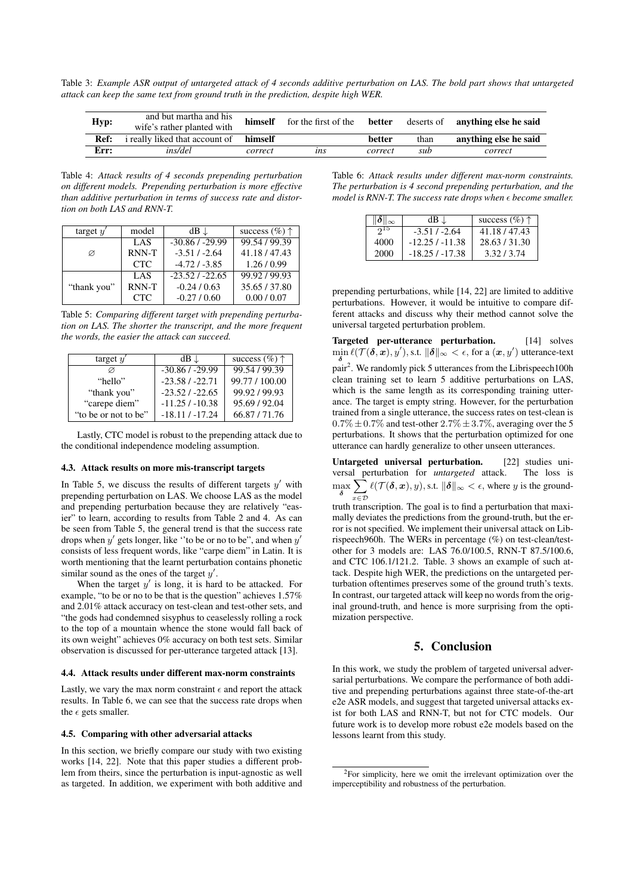Table 3: *Example ASR output of untargeted attack of 4 seconds additive perturbation on LAS. The bold part shows that untargeted attack can keep the same text from ground truth in the prediction, despite high WER.*

| Hyp: | and but martha and his<br>wife's rather planted with | himself | for the first of the | better  |      | deserts of <b>anything else he said</b> |
|------|------------------------------------------------------|---------|----------------------|---------|------|-----------------------------------------|
| Ref: | i really liked that account of                       | himself |                      | better  | than | anything else he said                   |
| Err: | ins/del                                              | correct | <i><b>ins</b></i>    | correct | sub  | correct                                 |

Table 4: *Attack results of 4 seconds prepending perturbation on different models. Prepending perturbation is more effective than additive perturbation in terms of success rate and distortion on both LAS and RNN-T.*

| target $y'$ | model      | $dB \downarrow$  | success $(\%)$ $\uparrow$ |
|-------------|------------|------------------|---------------------------|
|             | LAS        | $-30.86/ -29.99$ | 99.54 / 99.39             |
| Ø           | RNN-T      | $-3.51 / -2.64$  | 41.18/47.43               |
|             | <b>CTC</b> | $-4.72/ -3.85$   | 1.26/0.99                 |
|             | LAS        | $-23.52/ -22.65$ | 99.92/99.93               |
| "thank you" | RNN-T      | $-0.24/0.63$     | 35.65/37.80               |
|             | <b>CTC</b> | $-0.27/0.60$     | 0.00 / 0.07               |

Table 5: *Comparing different target with prepending perturbation on LAS. The shorter the transcript, and the more frequent the words, the easier the attack can succeed.*

| target $y'$          | $dB \downarrow$   | success $(\%)$ $\uparrow$ |
|----------------------|-------------------|---------------------------|
|                      | $-30.86/ -29.99$  | 99.54 / 99.39             |
| "hello"              | $-23.58/ -22.71$  | 99.77 / 100.00            |
| "thank you"          | $-23.52/ -22.65$  | 99.92/99.93               |
| "carepe diem"        | $-11.25/ -10.38$  | 95.69 / 92.04             |
| "to be or not to be" | $-18.11 / -17.24$ | 66.87/71.76               |

Lastly, CTC model is robust to the prepending attack due to the conditional independence modeling assumption.

#### 4.3. Attack results on more mis-transcript targets

In Table 5, we discuss the results of different targets  $y'$  with prepending perturbation on LAS. We choose LAS as the model and prepending perturbation because they are relatively "easier" to learn, according to results from Table 2 and 4. As can be seen from Table 5, the general trend is that the success rate drops when  $y'$  gets longer, like "to be or no to be", and when  $y'$ consists of less frequent words, like "carpe diem" in Latin. It is worth mentioning that the learnt perturbation contains phonetic similar sound as the ones of the target  $y'$ .

When the target  $y'$  is long, it is hard to be attacked. For example, "to be or no to be that is the question" achieves 1.57% and 2.01% attack accuracy on test-clean and test-other sets, and "the gods had condemned sisyphus to ceaselessly rolling a rock to the top of a mountain whence the stone would fall back of its own weight" achieves 0% accuracy on both test sets. Similar observation is discussed for per-utterance targeted attack [13].

#### 4.4. Attack results under different max-norm constraints

Lastly, we vary the max norm constraint  $\epsilon$  and report the attack results. In Table 6, we can see that the success rate drops when the  $\epsilon$  gets smaller.

#### 4.5. Comparing with other adversarial attacks

In this section, we briefly compare our study with two existing works [14, 22]. Note that this paper studies a different problem from theirs, since the perturbation is input-agnostic as well as targeted. In addition, we experiment with both additive and

Table 6: *Attack results under different max-norm constraints. The perturbation is 4 second prepending perturbation, and the model is RNN-T. The success rate drops when*  $\epsilon$  become smaller.

| $\ \boldsymbol{\delta}\ _{\infty}$ | $dB \downarrow$  | success $(\%)$ $\uparrow$ |
|------------------------------------|------------------|---------------------------|
| $2^{15}$                           | $-3.51/ -2.64$   | 41.18/47.43               |
| 4000                               | $-12.25/ -11.38$ | 28.63/31.30               |
| 2000                               | $-18.25/ -17.38$ | 3.32/3.74                 |

prepending perturbations, while [14, 22] are limited to additive perturbations. However, it would be intuitive to compare different attacks and discuss why their method cannot solve the universal targeted perturbation problem.

Targeted per-utterance perturbation. [14] solves  $\min_{\delta} \ell(\mathcal{T}(\delta, x), y'),$  s.t.  $\|\delta\|_{\infty} < \epsilon$ , for a  $(x, y')$  utterance-text pair<sup>2</sup>. We randomly pick 5 utterances from the Librispeech100h clean training set to learn 5 additive perturbations on LAS, which is the same length as its corresponding training utterance. The target is empty string. However, for the perturbation trained from a single utterance, the success rates on test-clean is  $0.7\% \pm 0.7\%$  and test-other  $2.7\% \pm 3.7\%$ , averaging over the 5 perturbations. It shows that the perturbation optimized for one utterance can hardly generalize to other unseen utterances.

Untargeted universal perturbation. [22] studies universal perturbation for *untargeted* attack. The loss is  $\max_{\boldsymbol{\delta}} \sum \ell(\mathcal{T}(\boldsymbol{\delta}, \boldsymbol{x}), y), \text{s.t. } \|\boldsymbol{\delta}\|_{\infty} < \epsilon, \text{ where } y \text{ is the ground-}$  $x \in \mathcal{D}$ 

truth transcription. The goal is to find a perturbation that maximally deviates the predictions from the ground-truth, but the error is not specified. We implement their universal attack on Librispeech960h. The WERs in percentage (%) on test-clean/testother for 3 models are: LAS 76.0/100.5, RNN-T 87.5/100.6, and CTC 106.1/121.2. Table. 3 shows an example of such attack. Despite high WER, the predictions on the untargeted perturbation oftentimes preserves some of the ground truth's texts. In contrast, our targeted attack will keep no words from the original ground-truth, and hence is more surprising from the optimization perspective.

# 5. Conclusion

In this work, we study the problem of targeted universal adversarial perturbations. We compare the performance of both additive and prepending perturbations against three state-of-the-art e2e ASR models, and suggest that targeted universal attacks exist for both LAS and RNN-T, but not for CTC models. Our future work is to develop more robust e2e models based on the lessons learnt from this study.

<sup>2</sup>For simplicity, here we omit the irrelevant optimization over the imperceptibility and robustness of the perturbation.